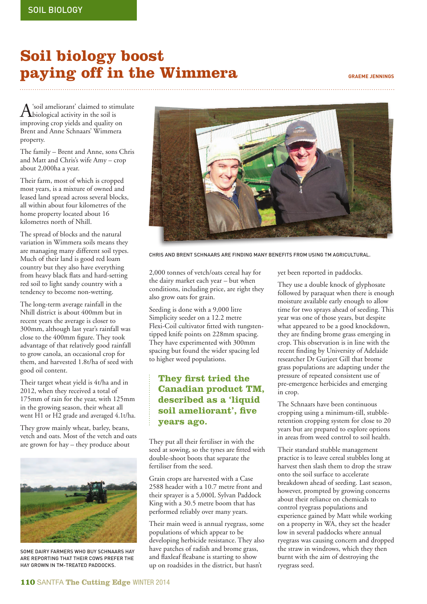## **Soil biology boost paying off in the Wimmera GRAEME JENNINGS**

 $\mathbf{A}$  'soil ameliorant' claimed to stimulate<br>is in the soil is improving crop yields and quality on Brent and Anne Schnaars' Wimmera property.

The family – Brent and Anne, sons Chris and Matt and Chris's wife Amy – crop about 2,000ha a year.

Their farm, most of which is cropped most years, is a mixture of owned and leased land spread across several blocks, all within about four kilometres of the home property located about 16 kilometres north of Nhill.

The spread of blocks and the natural variation in Wimmera soils means they are managing many different soil types. Much of their land is good red loam country but they also have everything from heavy black flats and hard-setting red soil to light sandy country with a tendency to become non-wetting.

The long-term average rainfall in the Nhill district is about 400mm but in recent years the average is closer to 300mm, although last year's rainfall was close to the 400mm figure. They took advantage of that relatively good rainfall to grow canola, an occasional crop for them, and harvested 1.8t/ha of seed with good oil content.

Their target wheat yield is 4t/ha and in 2012, when they received a total of 175mm of rain for the year, with 125mm in the growing season, their wheat all went H1 or H2 grade and averaged 4.1t/ha.

They grow mainly wheat, barley, beans, vetch and oats. Most of the vetch and oats are grown for hay – they produce about



SOME DAIRY FARMERS WHO BUY SCHNAARS HAY ARE REPORTING THAT THEIR COWS PREFER THE HAY GROWN IN TM-TREATED PADDOCKS.



CHRIS AND BRENT SCHNAARS ARE FINDING MANY BENEFITS FROM USING TM AGRICULTURAL.

2,000 tonnes of vetch/oats cereal hay for the dairy market each year – but when conditions, including price, are right they also grow oats for grain.

Seeding is done with a 9,000 litre Simplicity seeder on a 12.2 metre Flexi-Coil cultivator fitted with tungstentipped knife points on 228mm spacing. They have experimented with 300mm spacing but found the wider spacing led to higher weed populations.

## **They first tried the Canadian product TM, described as a 'liquid**  soil ameliorant', five **years ago.**

They put all their fertiliser in with the seed at sowing, so the tynes are fitted with double-shoot boots that separate the fertiliser from the seed.

Grain crops are harvested with a Case 2588 header with a 10.7 metre front and their sprayer is a 5,000L Sylvan Paddock King with a 30.5 metre boom that has performed reliably over many years.

Their main weed is annual ryegrass, some populations of which appear to be developing herbicide resistance. They also have patches of radish and brome grass, and flaxleaf fleabane is starting to show up on roadsides in the district, but hasn't

yet been reported in paddocks.

They use a double knock of glyphosate followed by paraquat when there is enough moisture available early enough to allow time for two sprays ahead of seeding. This year was one of those years, but despite what appeared to be a good knockdown, they are finding brome grass emerging in crop. This observation is in line with the recent finding by University of Adelaide researcher Dr Gurjeet Gill that brome grass populations are adapting under the pressure of repeated consistent use of pre-emergence herbicides and emerging in crop.

The Schnaars have been continuous cropping using a minimum-till, stubbleretention cropping system for close to 20 years but are prepared to explore options in areas from weed control to soil health.

Their standard stubble management practice is to leave cereal stubbles long at harvest then slash them to drop the straw onto the soil surface to accelerate breakdown ahead of seeding. Last season, however, prompted by growing concerns about their reliance on chemicals to control ryegrass populations and experience gained by Matt while working on a property in WA, they set the header low in several paddocks where annual ryegrass was causing concern and dropped the straw in windrows, which they then burnt with the aim of destroying the ryegrass seed.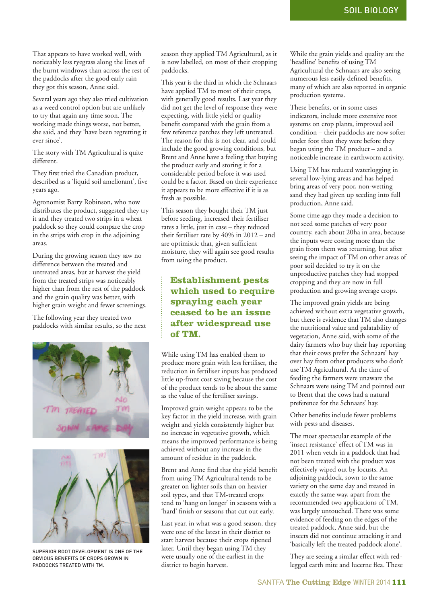That appears to have worked well, with noticeably less ryegrass along the lines of the burnt windrows than across the rest of the paddocks after the good early rain they got this season, Anne said.

Several years ago they also tried cultivation as a weed control option but are unlikely to try that again any time soon. The working made things worse, not better, she said, and they 'have been regretting it ever since'.

The story with TM Agricultural is quite different.

They first tried the Canadian product, described as a 'liquid soil ameliorant', five years ago.

Agronomist Barry Robinson, who now distributes the product, suggested they try it and they treated two strips in a wheat paddock so they could compare the crop in the strips with crop in the adjoining areas.

During the growing season they saw no difference between the treated and untreated areas, but at harvest the yield from the treated strips was noticeably higher than from the rest of the paddock and the grain quality was better, with higher grain weight and fewer screenings.

The following year they treated two paddocks with similar results, so the next





SUPERIOR ROOT DEVELOPMENT IS ONE OF THE OBVIOUS BENEFITS OF CROPS GROWN IN PADDOCKS TREATED WITH TM.

season they applied TM Agricultural, as it is now labelled, on most of their cropping paddocks.

This year is the third in which the Schnaars have applied TM to most of their crops, with generally good results. Last year they did not get the level of response they were expecting, with little yield or quality benefit compared with the grain from a few reference patches they left untreated. The reason for this is not clear, and could include the good growing conditions, but Brent and Anne have a feeling that buying the product early and storing it for a considerable period before it was used could be a factor. Based on their experience it appears to be more effective if it is as fresh as possible.

This season they bought their TM just before seeding, increased their fertiliser rates a little, just in case – they reduced their fertiliser rate by 40% in 2012 – and are optimistic that, given sufficient moisture, they will again see good results from using the product.

## **Establishment pests which used to require spraying each year ceased to be an issue after widespread use of TM.**

While using TM has enabled them to produce more grain with less fertiliser, the reduction in fertiliser inputs has produced little up-front cost saving because the cost of the product tends to be about the same as the value of the fertiliser savings.

Improved grain weight appears to be the key factor in the yield increase, with grain weight and yields consistently higher but no increase in vegetative growth, which means the improved performance is being achieved without any increase in the amount of residue in the paddock.

Brent and Anne find that the yield benefit from using TM Agricultural tends to be greater on lighter soils than on heavier soil types, and that TM-treated crops tend to 'hang on longer' in seasons with a 'hard' finish or seasons that cut out early.

Last year, in what was a good season, they were one of the latest in their district to start harvest because their crops ripened later. Until they began using TM they were usually one of the earliest in the district to begin harvest.

While the grain yields and quality are the 'headline' benefits of using TM Agricultural the Schnaars are also seeing numerous less easily defined benefits, many of which are also reported in organic production systems.

These benefits, or in some cases indicators, include more extensive root systems on crop plants, improved soil condition – their paddocks are now softer under foot than they were before they began using the TM product – and a noticeable increase in earthworm activity.

Using TM has reduced waterlogging in several low-lying areas and has helped bring areas of very poor, non-wetting sand they had given up seeding into full production, Anne said.

Some time ago they made a decision to not seed some patches of very poor country, each about 20ha in area, because the inputs were costing more than the grain from them was returning, but after seeing the impact of TM on other areas of poor soil decided to try it on the unproductive patches they had stopped cropping and they are now in full production and growing average crops.

The improved grain yields are being achieved without extra vegetative growth, but there is evidence that TM also changes the nutritional value and palatability of vegetation, Anne said, with some of the dairy farmers who buy their hay reporting that their cows prefer the Schnaars' hay over hay from other producers who don't use TM Agricultural. At the time of feeding the farmers were unaware the Schnaars were using TM and pointed out to Brent that the cows had a natural preference for the Schnaars' hay.

Other benefits include fewer problems with pests and diseases.

The most spectacular example of the 'insect resistance' effect of TM was in 2011 when vetch in a paddock that had not been treated with the product was effectively wiped out by locusts. An adjoining paddock, sown to the same variety on the same day and treated in exactly the same way, apart from the recommended two applications of TM, was largely untouched. There was some evidence of feeding on the edges of the treated paddock, Anne said, but the insects did not continue attacking it and 'basically left the treated paddock alone'.

They are seeing a similar effect with redlegged earth mite and lucerne flea. These